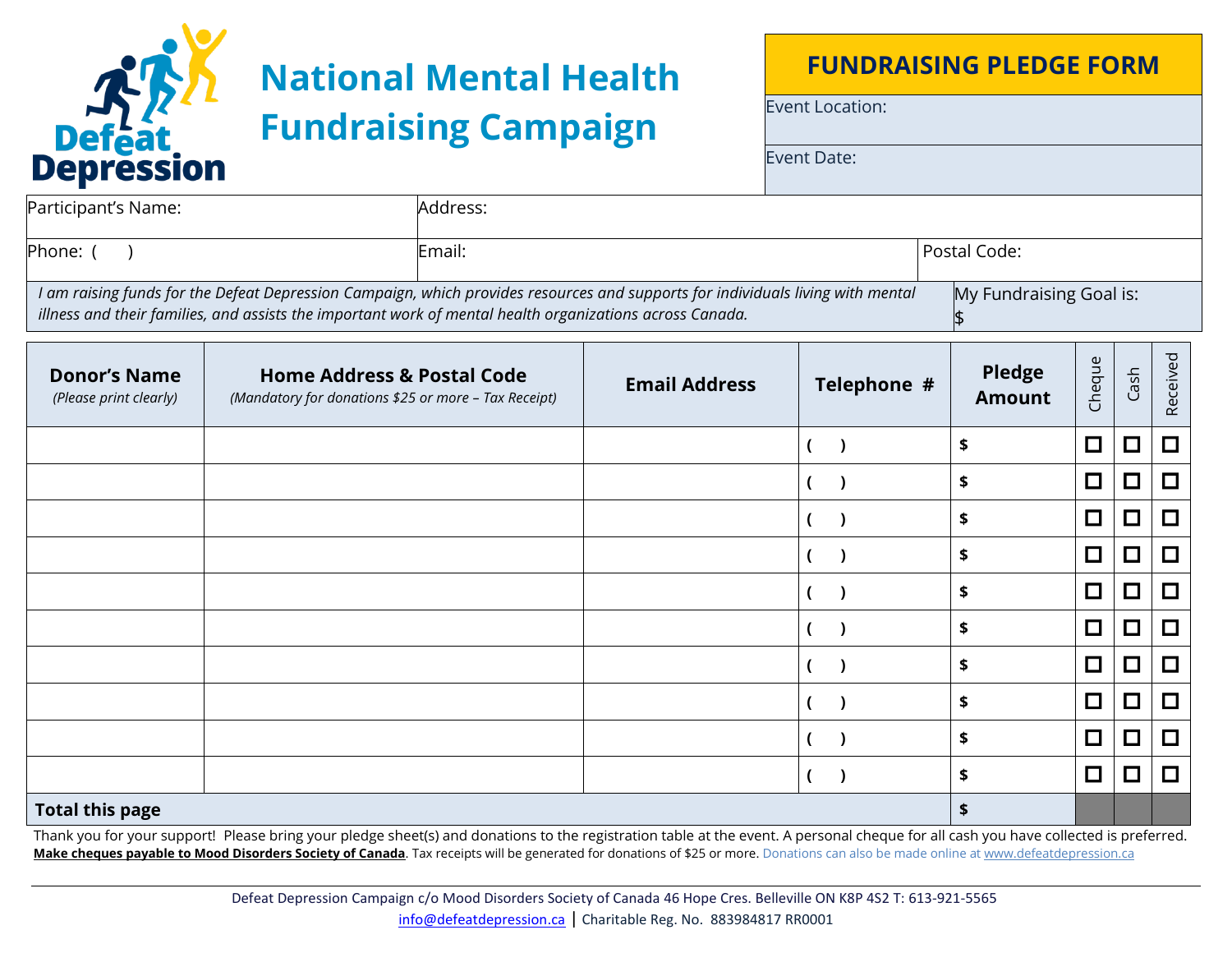

## **National Mental Health Fundraising Campaign**

## **FUNDRAISING PLEDGE FORM**

Event Location:

Event Date:

| Participant's Name:                                                                                                                                                                                                                         | Address: |  |                         |  |  |
|---------------------------------------------------------------------------------------------------------------------------------------------------------------------------------------------------------------------------------------------|----------|--|-------------------------|--|--|
| Phone: (                                                                                                                                                                                                                                    | Email:   |  | Postal Code:            |  |  |
| I am raising funds for the Defeat Depression Campaign, which provides resources and supports for individuals living with mental<br>illness and their families, and assists the important work of mental health organizations across Canada. |          |  | My Fundraising Goal is: |  |  |

| <b>Donor's Name</b><br>(Please print clearly) | <b>Home Address &amp; Postal Code</b><br>(Mandatory for donations \$25 or more - Tax Receipt) | <b>Email Address</b> | Telephone # | <b>Pledge</b><br><b>Amount</b> | Cheque | Cash   | Received |
|-----------------------------------------------|-----------------------------------------------------------------------------------------------|----------------------|-------------|--------------------------------|--------|--------|----------|
|                                               |                                                                                               |                      |             | \$                             | $\Box$ | $\Box$ | 囗        |
|                                               |                                                                                               |                      |             | \$                             | $\Box$ | $\Box$ | $\Box$   |
|                                               |                                                                                               |                      |             | \$                             | $\Box$ | $\Box$ | 口        |
|                                               |                                                                                               |                      |             | \$                             | $\Box$ | □      | $\Box$   |
|                                               |                                                                                               |                      |             | \$                             | $\Box$ | $\Box$ | $\Box$   |
|                                               |                                                                                               |                      |             | \$                             | $\Box$ | 口      | $\Box$   |
|                                               |                                                                                               |                      |             | \$                             | $\Box$ | $\Box$ | $\Box$   |
|                                               |                                                                                               |                      |             | \$                             | $\Box$ | $\Box$ | $\Box$   |
|                                               |                                                                                               |                      |             | \$                             | $\Box$ | $\Box$ | $\Box$   |
|                                               |                                                                                               |                      |             | \$                             | $\Box$ | $\Box$ | $\Box$   |
| <b>Total this page</b>                        |                                                                                               | \$                   |             |                                |        |        |          |

Thank you for your support! Please bring your pledge sheet(s) and donations to the registration table at the event. A personal cheque for all cash you have collected is preferred. Make cheques payable to Mood Disorders Society of Canada</u>. Tax receipts will be generated for donations of \$25 or more. Donations can also be made online a[t www.defeatdepression.ca](http://www.defeatdepression.ca/)